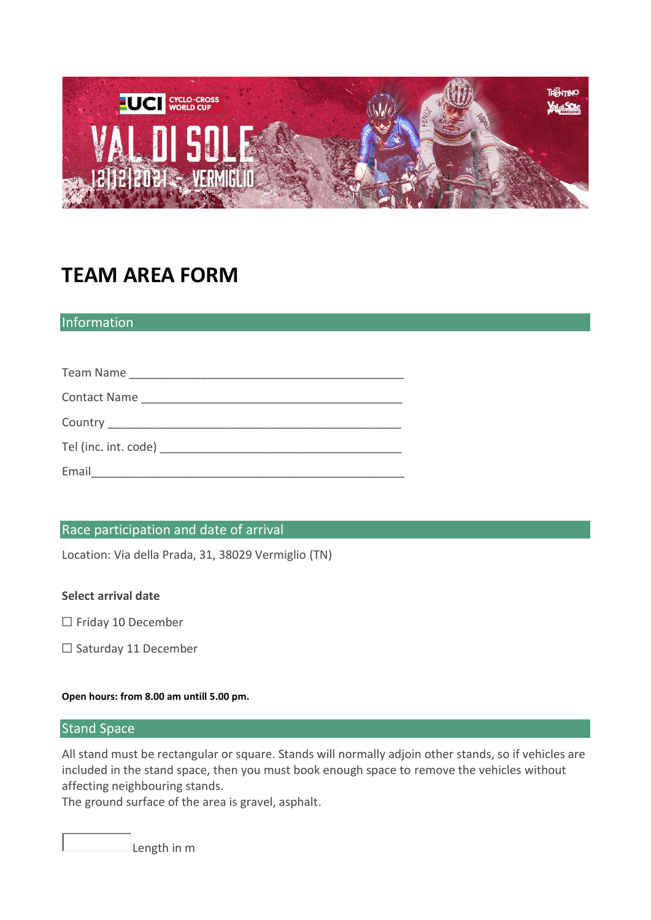

# **TEAM AREA FORM**

## Information

| Email |
|-------|

## Race participation and date of arrival

Location: Via della Prada, 31, 38029 Vermiglio (TN)

## **Select arrival date**

- ☐ Friday 10 December
- ☐ Saturday 11 December

#### **Open hours: from 8.00 am untill 5.00 pm.**

## **Stand Space**

All stand must be rectangular or square. Stands will normally adjoin other stands, so if vehicles are included in the stand space, then you must book enough space to remove the vehicles without affecting neighbouring stands.

The ground surface of the area is gravel, asphalt.

Length in m